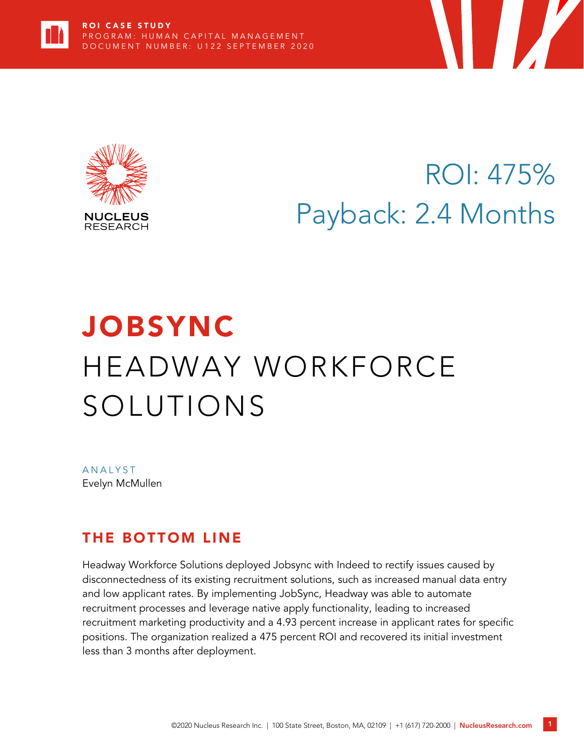



# ROI: 475% Payback: 2.4 Months

Y

# JOBSYNC HEADWAY WORKFORCE SOLUTIONS

**ANALYST** Evelyn McMullen

### THE BOTTOM LINE

Headway Workforce Solutions deployed Jobsync with Indeed to rectify issues caused by disconnectedness of its existing recruitment solutions, such as increased manual data entry and low applicant rates. By implementing JobSync, Headway was able to automate recruitment processes and leverage native apply functionality, leading to increased recruitment marketing productivity and a 4.93 percent increase in applicant rates for specific positions. The organization realized a 475 percent ROI and recovered its initial investment less than 3 months after deployment.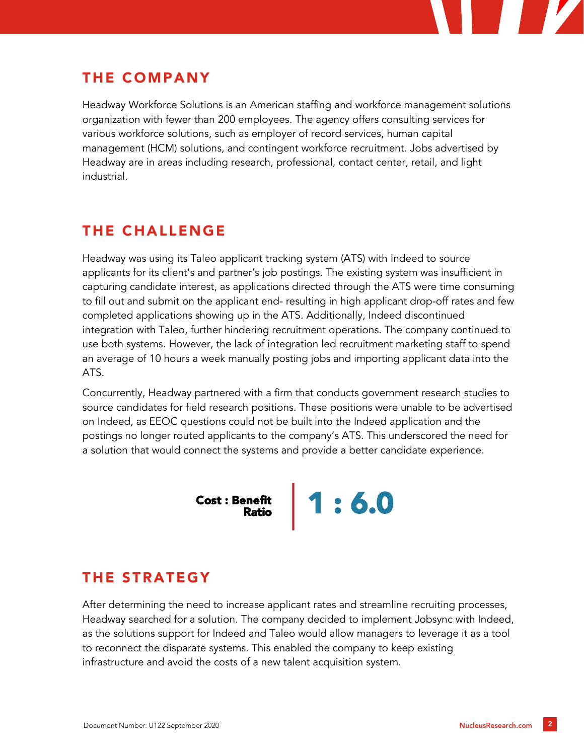

## THE COMPANY

Headway Workforce Solutions is an American staffing and workforce management solutions organization with fewer than 200 employees. The agency offers consulting services for various workforce solutions, such as employer of record services, human capital management (HCM) solutions, and contingent workforce recruitment. Jobs advertised by Headway are in areas including research, professional, contact center, retail, and light industrial.

## THE CHALLENGE

Headway was using its Taleo applicant tracking system (ATS) with Indeed to source applicants for its client's and partner's job postings. The existing system was insufficient in capturing candidate interest, as applications directed through the ATS were time consuming to fill out and submit on the applicant end- resulting in high applicant drop-off rates and few completed applications showing up in the ATS. Additionally, Indeed discontinued integration with Taleo, further hindering recruitment operations. The company continued to use both systems. However, the lack of integration led recruitment marketing staff to spend an average of 10 hours a week manually posting jobs and importing applicant data into the ATS.

Concurrently, Headway partnered with a firm that conducts government research studies to source candidates for field research positions. These positions were unable to be advertised on Indeed, as EEOC questions could not be built into the Indeed application and the postings no longer routed applicants to the company's ATS. This underscored the need for a solution that would connect the systems and provide a better candidate experience.

Cost : Benefit **1 : 6.0** 

# THE STRATEGY

After determining the need to increase applicant rates and streamline recruiting processes, Headway searched for a solution. The company decided to implement Jobsync with Indeed, as the solutions support for Indeed and Taleo would allow managers to leverage it as a tool to reconnect the disparate systems. This enabled the company to keep existing infrastructure and avoid the costs of a new talent acquisition system.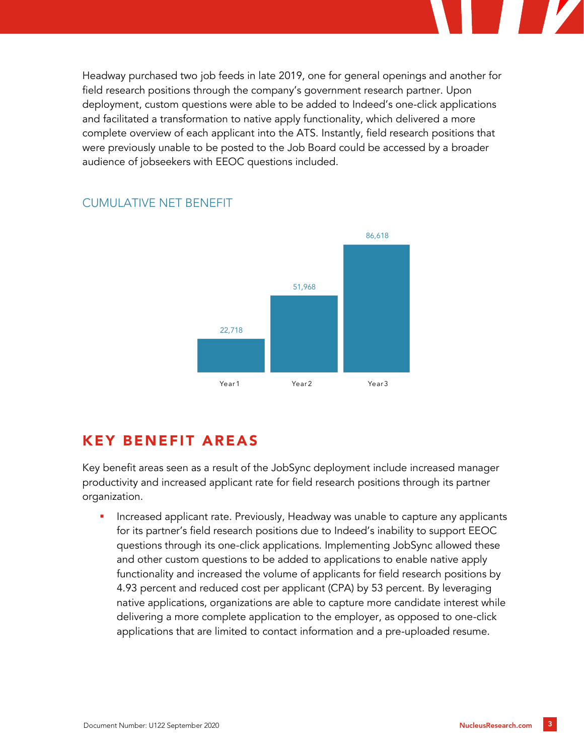Headway purchased two job feeds in late 2019, one for general openings and another for field research positions through the company's government research partner. Upon deployment, custom questions were able to be added to Indeed's one-click applications and facilitated a transformation to native apply functionality, which delivered a more complete overview of each applicant into the ATS. Instantly, field research positions that were previously unable to be posted to the Job Board could be accessed by a broader audience of jobseekers with EEOC questions included.



#### CUMULATIVE NET BENEFIT

## KEY BENEFIT AREAS

Key benefit areas seen as a result of the JobSync deployment include increased manager productivity and increased applicant rate for field research positions through its partner organization.

Increased applicant rate. Previously, Headway was unable to capture any applicants for its partner's field research positions due to Indeed's inability to support EEOC questions through its one-click applications. Implementing JobSync allowed these and other custom questions to be added to applications to enable native apply functionality and increased the volume of applicants for field research positions by 4.93 percent and reduced cost per applicant (CPA) by 53 percent. By leveraging native applications, organizations are able to capture more candidate interest while delivering a more complete application to the employer, as opposed to one-click applications that are limited to contact information and a pre-uploaded resume.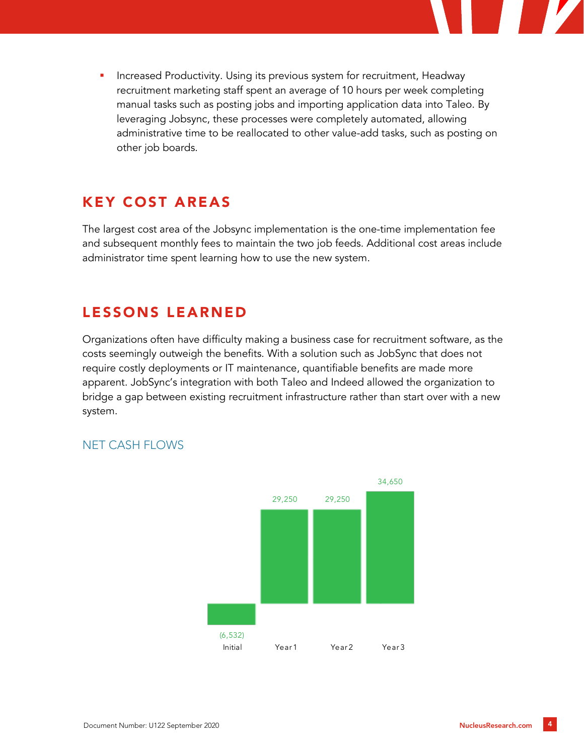

Increased Productivity. Using its previous system for recruitment, Headway recruitment marketing staff spent an average of 10 hours per week completing manual tasks such as posting jobs and importing application data into Taleo. By leveraging Jobsync, these processes were completely automated, allowing administrative time to be reallocated to other value-add tasks, such as posting on other job boards.

### KEY COST AREAS

The largest cost area of the Jobsync implementation is the one-time implementation fee and subsequent monthly fees to maintain the two job feeds. Additional cost areas include administrator time spent learning how to use the new system.

### LESSONS LEARNED

Organizations often have difficulty making a business case for recruitment software, as the costs seemingly outweigh the benefits. With a solution such as JobSync that does not require costly deployments or IT maintenance, quantifiable benefits are made more apparent. JobSync's integration with both Taleo and Indeed allowed the organization to bridge a gap between existing recruitment infrastructure rather than start over with a new system.



#### NET CASH FLOWS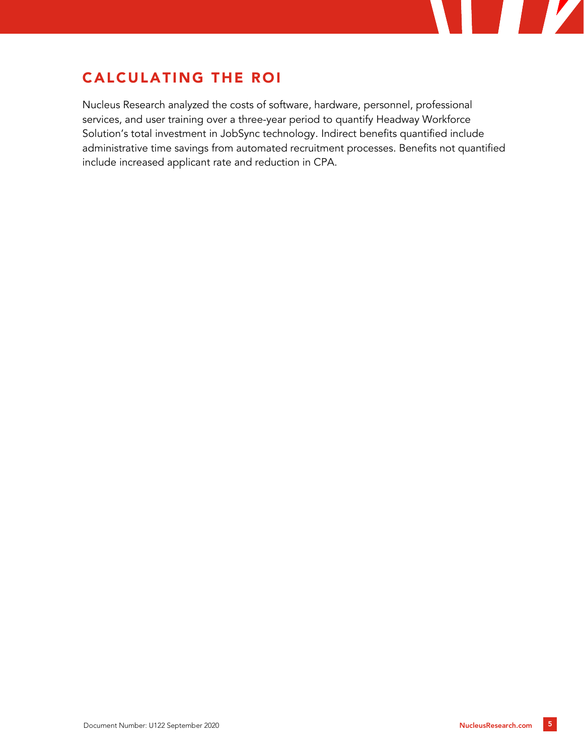

# CALCULATING THE ROI

Nucleus Research analyzed the costs of software, hardware, personnel, professional services, and user training over a three-year period to quantify Headway Workforce Solution's total investment in JobSync technology. Indirect benefits quantified include administrative time savings from automated recruitment processes. Benefits not quantified include increased applicant rate and reduction in CPA.